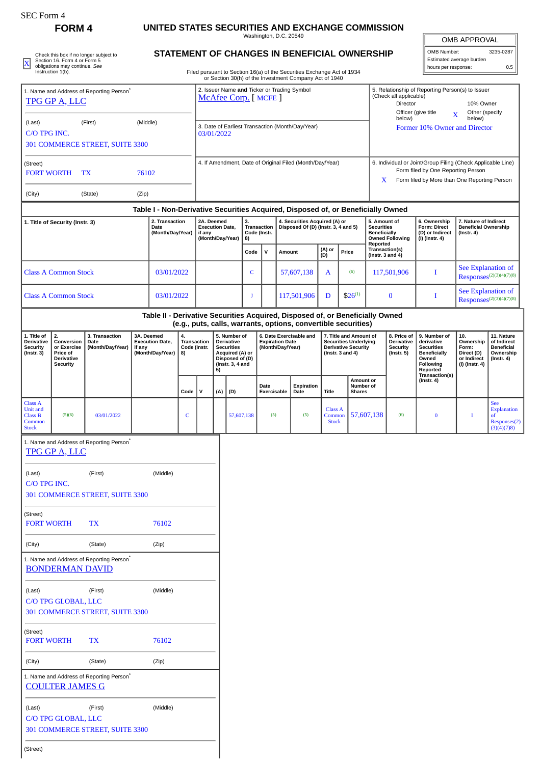| SEC Form 4 |
|------------|
|------------|

(Street)

## **FORM 4 UNITED STATES SECURITIES AND EXCHANGE COMMISSION**

**STATEMENT OF CHANGES IN BENEFICIAL OWNERSHIP**

Washington, D.C. 20549

| <b>OMB APPROVAL</b>      |           |  |  |  |  |  |
|--------------------------|-----------|--|--|--|--|--|
| OMB Number:              | 3235-0287 |  |  |  |  |  |
| Estimated average burden |           |  |  |  |  |  |

| Filed pursuant to Section 16(a) of the Securities Exchanged |
|-------------------------------------------------------------|
|                                                             |

| X                                                                                | Section 16. Form 4 or Form 5<br>obligations may continue. See<br>Instruction 1(b). | Check this box if no longer subject to               |        |                                                                |                                                                                                                                |                                                                    |     |                                                                                                                  |          |                                            |            | STATEMENT OF CHANGES IN BENEFICIAL OWNERSHIP<br>Filed pursuant to Section 16(a) of the Securities Exchange Act of 1934                          |                                          |                                                                                                                                                         |                                                               |                                                                         | hours per response:                                                                                      | Estimated average burden                                                 | 0.5                                                                             |
|----------------------------------------------------------------------------------|------------------------------------------------------------------------------------|------------------------------------------------------|--------|----------------------------------------------------------------|--------------------------------------------------------------------------------------------------------------------------------|--------------------------------------------------------------------|-----|------------------------------------------------------------------------------------------------------------------|----------|--------------------------------------------|------------|-------------------------------------------------------------------------------------------------------------------------------------------------|------------------------------------------|---------------------------------------------------------------------------------------------------------------------------------------------------------|---------------------------------------------------------------|-------------------------------------------------------------------------|----------------------------------------------------------------------------------------------------------|--------------------------------------------------------------------------|---------------------------------------------------------------------------------|
| 1. Name and Address of Reporting Person <sup>®</sup><br>TPG GP A, LLC            |                                                                                    |                                                      |        |                                                                | or Section 30(h) of the Investment Company Act of 1940<br>2. Issuer Name and Ticker or Trading Symbol<br>McAfee Corp. [ MCFE ] |                                                                    |     |                                                                                                                  |          |                                            |            |                                                                                                                                                 |                                          |                                                                                                                                                         | (Check all applicable)<br>Director                            |                                                                         | 5. Relationship of Reporting Person(s) to Issuer<br>10% Owner                                            |                                                                          |                                                                                 |
| (Last)<br>(First)<br>(Middle)<br>C/O TPG INC.<br>301 COMMERCE STREET, SUITE 3300 |                                                                                    |                                                      |        | 3. Date of Earliest Transaction (Month/Day/Year)<br>03/01/2022 |                                                                                                                                |                                                                    |     |                                                                                                                  |          |                                            |            |                                                                                                                                                 |                                          | Officer (give title<br>Other (specify<br>X<br>below)<br>below)<br>Former 10% Owner and Director                                                         |                                                               |                                                                         |                                                                                                          |                                                                          |                                                                                 |
| (Street)<br>76102<br><b>FORT WORTH</b><br>TX                                     |                                                                                    |                                                      |        | 4. If Amendment, Date of Original Filed (Month/Day/Year)       |                                                                                                                                |                                                                    |     |                                                                                                                  |          |                                            |            |                                                                                                                                                 |                                          | 6. Individual or Joint/Group Filing (Check Applicable Line)<br>Form filed by One Reporting Person<br>X.<br>Form filed by More than One Reporting Person |                                                               |                                                                         |                                                                                                          |                                                                          |                                                                                 |
| (City)                                                                           |                                                                                    | (State)                                              | (Zip)  |                                                                |                                                                                                                                |                                                                    |     |                                                                                                                  |          |                                            |            |                                                                                                                                                 |                                          |                                                                                                                                                         |                                                               |                                                                         |                                                                                                          |                                                                          |                                                                                 |
|                                                                                  |                                                                                    |                                                      |        |                                                                |                                                                                                                                |                                                                    |     |                                                                                                                  |          |                                            |            | Table I - Non-Derivative Securities Acquired, Disposed of, or Beneficially Owned                                                                |                                          |                                                                                                                                                         |                                                               |                                                                         |                                                                                                          |                                                                          |                                                                                 |
| 1. Title of Security (Instr. 3)                                                  |                                                                                    |                                                      |        | 2. Transaction<br>Date<br>(Month/Day/Year)                     |                                                                                                                                | 2A. Deemed<br><b>Execution Date,</b><br>if any<br>(Month/Day/Year) |     |                                                                                                                  | 3.<br>8) | <b>Transaction</b><br>Code (Instr.         |            | 4. Securities Acquired (A) or                                                                                                                   | Disposed Of (D) (Instr. 3, 4 and 5)      |                                                                                                                                                         | 5. Amount of<br><b>Securities</b><br>Beneficially<br>Reported | <b>Owned Following</b>                                                  | 6. Ownership<br><b>Form: Direct</b><br>(D) or Indirect<br>(I) (Instr. 4)                                 | 7. Nature of Indirect<br><b>Beneficial Ownership</b><br>$($ Instr. 4 $)$ |                                                                                 |
|                                                                                  |                                                                                    |                                                      |        |                                                                |                                                                                                                                |                                                                    |     |                                                                                                                  | Code     | $\mathsf{v}$                               |            | Amount                                                                                                                                          | (A) or<br>(D)                            | Price                                                                                                                                                   |                                                               | Transaction(s)<br>(Instr. $3$ and $4$ )                                 |                                                                                                          |                                                                          |                                                                                 |
|                                                                                  | <b>Class A Common Stock</b>                                                        |                                                      |        | 03/01/2022                                                     |                                                                                                                                |                                                                    |     |                                                                                                                  | C        |                                            | 57,607,138 |                                                                                                                                                 | A                                        | (6)                                                                                                                                                     |                                                               | 117,501,906                                                             | T                                                                                                        | See Explanation of<br>$Response^{(2)(3)(4)(7)(8)}$                       |                                                                                 |
|                                                                                  | <b>Class A Common Stock</b><br>03/01/2022                                          |                                                      |        |                                                                |                                                                                                                                |                                                                    | J   |                                                                                                                  |          | 117,501,906                                | D          | $$26^{(1)}$                                                                                                                                     |                                          | $\bf{0}$                                                                                                                                                | Ι.                                                            | See Explanation of<br>Responses <sup>(2)(3)(4)(7)(8)</sup>              |                                                                                                          |                                                                          |                                                                                 |
|                                                                                  |                                                                                    |                                                      |        |                                                                |                                                                                                                                |                                                                    |     |                                                                                                                  |          |                                            |            | Table II - Derivative Securities Acquired, Disposed of, or Beneficially Owned<br>(e.g., puts, calls, warrants, options, convertible securities) |                                          |                                                                                                                                                         |                                                               |                                                                         |                                                                                                          |                                                                          |                                                                                 |
| 1. Title of<br><b>Derivative</b><br><b>Security</b><br>(Instr. 3)                | 2.<br>Conversion<br>or Exercise<br>Price of<br>Derivative<br>Security              | 3. Transaction<br>Date<br>(Month/Day/Year)           | if any | 3A. Deemed<br><b>Execution Date,</b><br>(Month/Day/Year)       | 4.<br>Code (Instr.<br>8)                                                                                                       | Transaction                                                        | 5)  | 5. Number of<br><b>Derivative</b><br><b>Securities</b><br>Acquired (A) or<br>Disposed of (D)<br>(Instr. 3, 4 and |          | <b>Expiration Date</b><br>(Month/Day/Year) |            | 6. Date Exercisable and                                                                                                                         |                                          | 7. Title and Amount of<br><b>Securities Underlying</b><br><b>Derivative Security</b><br>(Instr. $3$ and $4$ )                                           |                                                               | 8. Price of<br><b>Derivative</b><br><b>Security</b><br>$($ Instr. 5 $)$ | 9. Number of<br>derivative<br><b>Securities</b><br><b>Beneficially</b><br>Owned<br>Following<br>Reported | 10.<br>Ownership<br>Form:<br>Direct (D)<br>or Indirect<br>(I) (Instr. 4) | 11. Nature<br>of Indirect<br><b>Beneficial</b><br>Ownership<br>$($ Instr. 4 $)$ |
|                                                                                  |                                                                                    |                                                      |        |                                                                | Code                                                                                                                           | v                                                                  | (A) | (D)                                                                                                              |          | Date<br>Exercisable                        |            | Expiration<br>Date                                                                                                                              | Title                                    | <b>Shares</b>                                                                                                                                           | <b>Amount or</b><br>Number of                                 |                                                                         | Transaction(s)<br>$($ Instr. 4 $)$                                                                       |                                                                          |                                                                                 |
| <b>Class A</b><br><b>Unit and</b><br><b>Class B</b><br>Common<br><b>Stock</b>    | (5)(6)                                                                             | 03/01/2022                                           |        |                                                                | c                                                                                                                              |                                                                    |     | 57,607,138                                                                                                       |          | (5)                                        |            | (5)                                                                                                                                             | <b>Class A</b><br>Common<br><b>Stock</b> |                                                                                                                                                         | 57,607,138                                                    | (6)                                                                     | $\bf{0}$                                                                                                 | I                                                                        | <b>See</b><br><b>Explanation</b><br>of<br>Responses(2)<br>(3)(4)(7)8            |
|                                                                                  | <b>TPG GP A, LLC</b>                                                               | 1. Name and Address of Reporting Person <sup>®</sup> |        |                                                                |                                                                                                                                |                                                                    |     |                                                                                                                  |          |                                            |            |                                                                                                                                                 |                                          |                                                                                                                                                         |                                                               |                                                                         |                                                                                                          |                                                                          |                                                                                 |
| (First)<br>(Middle)<br>(Last)<br>C/O TPG INC.                                    |                                                                                    |                                                      |        |                                                                |                                                                                                                                |                                                                    |     |                                                                                                                  |          |                                            |            |                                                                                                                                                 |                                          |                                                                                                                                                         |                                                               |                                                                         |                                                                                                          |                                                                          |                                                                                 |
|                                                                                  |                                                                                    | 301 COMMERCE STREET, SUITE 3300                      |        |                                                                |                                                                                                                                |                                                                    |     |                                                                                                                  |          |                                            |            |                                                                                                                                                 |                                          |                                                                                                                                                         |                                                               |                                                                         |                                                                                                          |                                                                          |                                                                                 |
| (Street)<br><b>FORT WORTH</b>                                                    |                                                                                    | <b>TX</b>                                            |        | 76102                                                          |                                                                                                                                |                                                                    |     |                                                                                                                  |          |                                            |            |                                                                                                                                                 |                                          |                                                                                                                                                         |                                                               |                                                                         |                                                                                                          |                                                                          |                                                                                 |
| (City)                                                                           |                                                                                    | (State)                                              |        | (Zip)                                                          |                                                                                                                                |                                                                    |     |                                                                                                                  |          |                                            |            |                                                                                                                                                 |                                          |                                                                                                                                                         |                                                               |                                                                         |                                                                                                          |                                                                          |                                                                                 |
|                                                                                  | <b>BONDERMAN DAVID</b>                                                             | 1. Name and Address of Reporting Person <sup>*</sup> |        |                                                                |                                                                                                                                |                                                                    |     |                                                                                                                  |          |                                            |            |                                                                                                                                                 |                                          |                                                                                                                                                         |                                                               |                                                                         |                                                                                                          |                                                                          |                                                                                 |
| (Last)                                                                           |                                                                                    | (First)                                              |        | (Middle)                                                       |                                                                                                                                |                                                                    |     |                                                                                                                  |          |                                            |            |                                                                                                                                                 |                                          |                                                                                                                                                         |                                                               |                                                                         |                                                                                                          |                                                                          |                                                                                 |
|                                                                                  | C/O TPG GLOBAL, LLC                                                                | 301 COMMERCE STREET, SUITE 3300                      |        |                                                                |                                                                                                                                |                                                                    |     |                                                                                                                  |          |                                            |            |                                                                                                                                                 |                                          |                                                                                                                                                         |                                                               |                                                                         |                                                                                                          |                                                                          |                                                                                 |
| (Street)<br><b>FORT WORTH</b>                                                    |                                                                                    | TX                                                   |        | 76102                                                          |                                                                                                                                |                                                                    |     |                                                                                                                  |          |                                            |            |                                                                                                                                                 |                                          |                                                                                                                                                         |                                                               |                                                                         |                                                                                                          |                                                                          |                                                                                 |
| (City)                                                                           |                                                                                    | (State)                                              |        | (Zip)                                                          |                                                                                                                                |                                                                    |     |                                                                                                                  |          |                                            |            |                                                                                                                                                 |                                          |                                                                                                                                                         |                                                               |                                                                         |                                                                                                          |                                                                          |                                                                                 |
|                                                                                  | <b>COULTER JAMES G</b>                                                             | 1. Name and Address of Reporting Person <sup>*</sup> |        |                                                                |                                                                                                                                |                                                                    |     |                                                                                                                  |          |                                            |            |                                                                                                                                                 |                                          |                                                                                                                                                         |                                                               |                                                                         |                                                                                                          |                                                                          |                                                                                 |
| (Last)                                                                           | C/O TPG GLOBAL, LLC                                                                | (First)<br>301 COMMERCE STREET, SUITE 3300           |        | (Middle)                                                       |                                                                                                                                |                                                                    |     |                                                                                                                  |          |                                            |            |                                                                                                                                                 |                                          |                                                                                                                                                         |                                                               |                                                                         |                                                                                                          |                                                                          |                                                                                 |